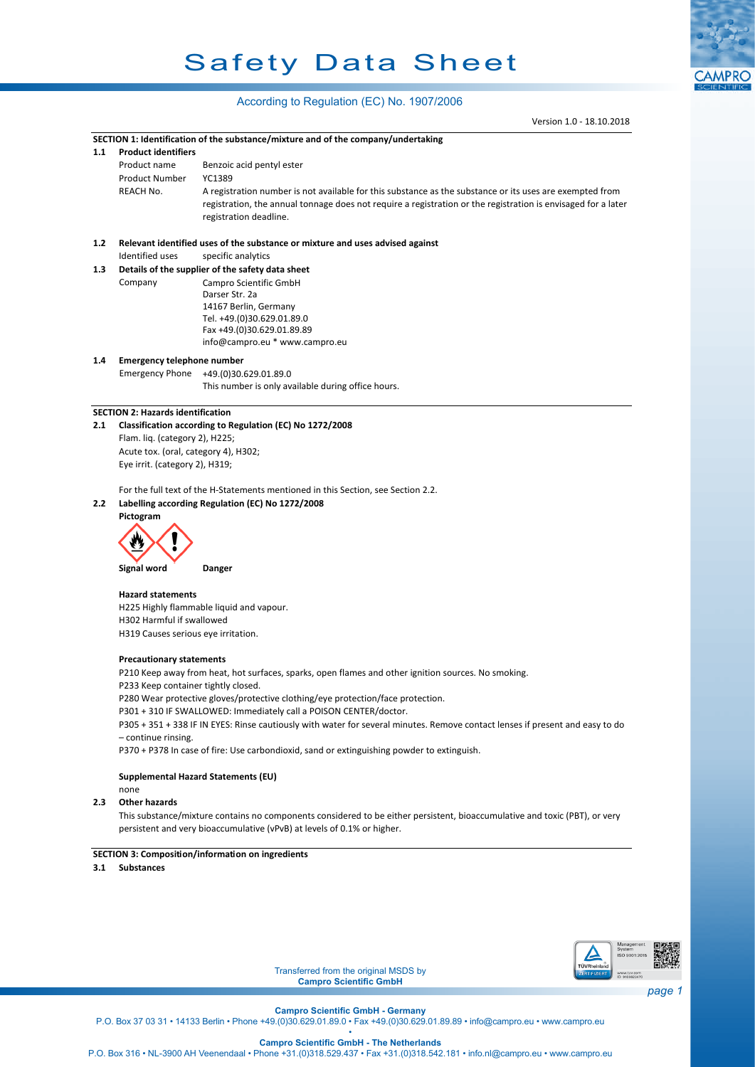# Safety Data Sheet

## According to Regulation (EC) No. 1907/2006

Version 1.0 - 18.10.2018

**CAMPRO** 

|                            | SECTION 1: Identification of the substance/mixture and of the company/undertaking                                                                                                                                                                                                                                                                                                                                                                                                                                                                                        |
|----------------------------|--------------------------------------------------------------------------------------------------------------------------------------------------------------------------------------------------------------------------------------------------------------------------------------------------------------------------------------------------------------------------------------------------------------------------------------------------------------------------------------------------------------------------------------------------------------------------|
| <b>Product identifiers</b> |                                                                                                                                                                                                                                                                                                                                                                                                                                                                                                                                                                          |
| Product name               | Benzoic acid pentyl ester                                                                                                                                                                                                                                                                                                                                                                                                                                                                                                                                                |
| <b>Product Number</b>      | YC1389                                                                                                                                                                                                                                                                                                                                                                                                                                                                                                                                                                   |
| REACH No.                  | A registration number is not available for this substance as the substance or its uses are exempted from                                                                                                                                                                                                                                                                                                                                                                                                                                                                 |
|                            | registration, the annual tonnage does not require a registration or the registration is envisaged for a later                                                                                                                                                                                                                                                                                                                                                                                                                                                            |
|                            | registration deadline.                                                                                                                                                                                                                                                                                                                                                                                                                                                                                                                                                   |
|                            |                                                                                                                                                                                                                                                                                                                                                                                                                                                                                                                                                                          |
|                            | Relevant identified uses of the substance or mixture and uses advised against                                                                                                                                                                                                                                                                                                                                                                                                                                                                                            |
|                            | specific analytics                                                                                                                                                                                                                                                                                                                                                                                                                                                                                                                                                       |
|                            | Campro Scientific GmbH                                                                                                                                                                                                                                                                                                                                                                                                                                                                                                                                                   |
|                            | Darser Str. 2a                                                                                                                                                                                                                                                                                                                                                                                                                                                                                                                                                           |
|                            | 14167 Berlin, Germany                                                                                                                                                                                                                                                                                                                                                                                                                                                                                                                                                    |
|                            | Tel. +49.(0)30.629.01.89.0                                                                                                                                                                                                                                                                                                                                                                                                                                                                                                                                               |
|                            | Fax +49.(0)30.629.01.89.89                                                                                                                                                                                                                                                                                                                                                                                                                                                                                                                                               |
|                            | info@campro.eu * www.campro.eu                                                                                                                                                                                                                                                                                                                                                                                                                                                                                                                                           |
|                            |                                                                                                                                                                                                                                                                                                                                                                                                                                                                                                                                                                          |
|                            | Emergency Phone +49.(0)30.629.01.89.0                                                                                                                                                                                                                                                                                                                                                                                                                                                                                                                                    |
|                            | This number is only available during office hours.                                                                                                                                                                                                                                                                                                                                                                                                                                                                                                                       |
|                            |                                                                                                                                                                                                                                                                                                                                                                                                                                                                                                                                                                          |
|                            |                                                                                                                                                                                                                                                                                                                                                                                                                                                                                                                                                                          |
|                            | Classification according to Regulation (EC) No 1272/2008                                                                                                                                                                                                                                                                                                                                                                                                                                                                                                                 |
|                            |                                                                                                                                                                                                                                                                                                                                                                                                                                                                                                                                                                          |
|                            |                                                                                                                                                                                                                                                                                                                                                                                                                                                                                                                                                                          |
|                            |                                                                                                                                                                                                                                                                                                                                                                                                                                                                                                                                                                          |
|                            | For the full text of the H-Statements mentioned in this Section, see Section 2.2.                                                                                                                                                                                                                                                                                                                                                                                                                                                                                        |
|                            | Labelling according Regulation (EC) No 1272/2008                                                                                                                                                                                                                                                                                                                                                                                                                                                                                                                         |
| Pictogram                  |                                                                                                                                                                                                                                                                                                                                                                                                                                                                                                                                                                          |
|                            |                                                                                                                                                                                                                                                                                                                                                                                                                                                                                                                                                                          |
|                            |                                                                                                                                                                                                                                                                                                                                                                                                                                                                                                                                                                          |
|                            |                                                                                                                                                                                                                                                                                                                                                                                                                                                                                                                                                                          |
| Signal word                | Danger                                                                                                                                                                                                                                                                                                                                                                                                                                                                                                                                                                   |
|                            |                                                                                                                                                                                                                                                                                                                                                                                                                                                                                                                                                                          |
|                            |                                                                                                                                                                                                                                                                                                                                                                                                                                                                                                                                                                          |
|                            |                                                                                                                                                                                                                                                                                                                                                                                                                                                                                                                                                                          |
|                            |                                                                                                                                                                                                                                                                                                                                                                                                                                                                                                                                                                          |
|                            |                                                                                                                                                                                                                                                                                                                                                                                                                                                                                                                                                                          |
|                            |                                                                                                                                                                                                                                                                                                                                                                                                                                                                                                                                                                          |
|                            | P210 Keep away from heat, hot surfaces, sparks, open flames and other ignition sources. No smoking.                                                                                                                                                                                                                                                                                                                                                                                                                                                                      |
|                            |                                                                                                                                                                                                                                                                                                                                                                                                                                                                                                                                                                          |
|                            | P280 Wear protective gloves/protective clothing/eye protection/face protection.                                                                                                                                                                                                                                                                                                                                                                                                                                                                                          |
|                            | P301 + 310 IF SWALLOWED: Immediately call a POISON CENTER/doctor.                                                                                                                                                                                                                                                                                                                                                                                                                                                                                                        |
|                            | P305 + 351 + 338 IF IN EYES: Rinse cautiously with water for several minutes. Remove contact lenses if present and easy to do                                                                                                                                                                                                                                                                                                                                                                                                                                            |
| - continue rinsing.        |                                                                                                                                                                                                                                                                                                                                                                                                                                                                                                                                                                          |
|                            | P370 + P378 In case of fire: Use carbondioxid, sand or extinguishing powder to extinguish.                                                                                                                                                                                                                                                                                                                                                                                                                                                                               |
|                            |                                                                                                                                                                                                                                                                                                                                                                                                                                                                                                                                                                          |
|                            |                                                                                                                                                                                                                                                                                                                                                                                                                                                                                                                                                                          |
|                            |                                                                                                                                                                                                                                                                                                                                                                                                                                                                                                                                                                          |
|                            |                                                                                                                                                                                                                                                                                                                                                                                                                                                                                                                                                                          |
|                            | This substance/mixture contains no components considered to be either persistent, bioaccumulative and toxic (PBT), or very<br>persistent and very bioaccumulative (vPvB) at levels of 0.1% or higher.                                                                                                                                                                                                                                                                                                                                                                    |
|                            |                                                                                                                                                                                                                                                                                                                                                                                                                                                                                                                                                                          |
|                            | <b>SECTION 3: Composition/information on ingredients</b>                                                                                                                                                                                                                                                                                                                                                                                                                                                                                                                 |
| <b>Substances</b>          |                                                                                                                                                                                                                                                                                                                                                                                                                                                                                                                                                                          |
|                            |                                                                                                                                                                                                                                                                                                                                                                                                                                                                                                                                                                          |
|                            |                                                                                                                                                                                                                                                                                                                                                                                                                                                                                                                                                                          |
|                            |                                                                                                                                                                                                                                                                                                                                                                                                                                                                                                                                                                          |
|                            |                                                                                                                                                                                                                                                                                                                                                                                                                                                                                                                                                                          |
|                            |                                                                                                                                                                                                                                                                                                                                                                                                                                                                                                                                                                          |
|                            | Management                                                                                                                                                                                                                                                                                                                                                                                                                                                                                                                                                               |
|                            | System<br>ISO 9001:2015                                                                                                                                                                                                                                                                                                                                                                                                                                                                                                                                                  |
|                            | TŪVRheinland<br>Transferred from the original MSDS by<br>ERTIFIZIERT                                                                                                                                                                                                                                                                                                                                                                                                                                                                                                     |
|                            | www.tuv.com<br>ID 9108622470<br><b>Campro Scientific GmbH</b>                                                                                                                                                                                                                                                                                                                                                                                                                                                                                                            |
|                            |                                                                                                                                                                                                                                                                                                                                                                                                                                                                                                                                                                          |
|                            | <b>Campro Scientific GmbH - Germany</b>                                                                                                                                                                                                                                                                                                                                                                                                                                                                                                                                  |
|                            | Identified uses<br>Details of the supplier of the safety data sheet<br>Company<br><b>Emergency telephone number</b><br><b>SECTION 2: Hazards identification</b><br>Flam. liq. (category 2), H225;<br>Acute tox. (oral, category 4), H302;<br>Eye irrit. (category 2), H319;<br><b>Hazard statements</b><br>H225 Highly flammable liquid and vapour.<br>H302 Harmful if swallowed<br>H319 Causes serious eye irritation.<br><b>Precautionary statements</b><br>P233 Keep container tightly closed.<br>Supplemental Hazard Statements (EU)<br>none<br><b>Other hazards</b> |

P.O. Box 316 • NL-3900 AH Veenendaal • Phone +31.(0)318.529.437 • Fax +31.(0)318.542.181 • info.nl@campro.eu • <www.campro.eu>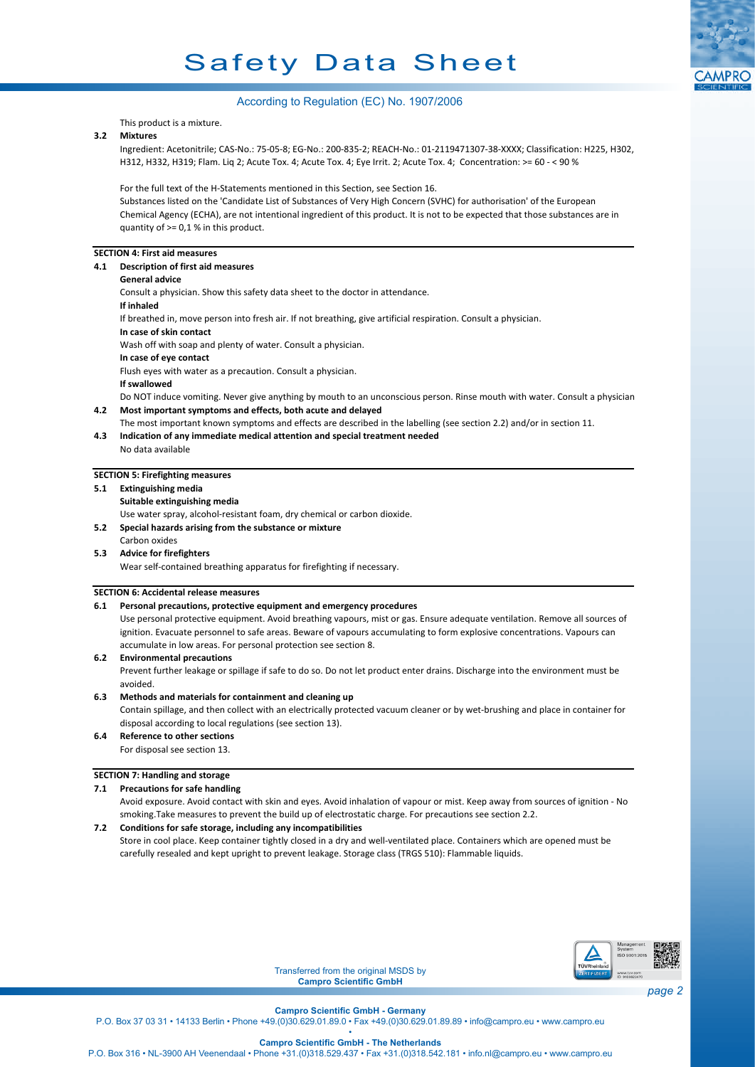# Safety Data Sheet



## According to Regulation (EC) No. 1907/2006

This product is a mixture.

## **3.2 Mixtures**

Ingredient: Acetonitrile; CAS-No.: 75-05-8; EG-No.: 200-835-2; REACH-No.: 01-2119471307-38-XXXX; Classification: H225, H302, H312, H332, H319; Flam. Liq 2; Acute Tox. 4; Acute Tox. 4; Eye Irrit. 2; Acute Tox. 4; Concentration: >= 60 - < 90 %

For the full text of the H-Statements mentioned in this Section, see Section 16.

Substances listed on the 'Candidate List of Substances of Very High Concern (SVHC) for authorisation' of the European Chemical Agency (ECHA), are not intentional ingredient of this product. It is not to be expected that those substances are in quantity of >= 0,1 % in this product.

## **SECTION 4: First aid measures**

- **4.1 Description of first aid measures**
	- **General advice**

Consult a physician. Show this safety data sheet to the doctor in attendance. **If inhaled** If breathed in, move person into fresh air. If not breathing, give artificial respiration. Consult a physician. **In case of skin contact** Wash off with soap and plenty of water. Consult a physician. **In case of eye contact** Flush eyes with water as a precaution. Consult a physician. **If swallowed** Do NOT induce vomiting. Never give anything by mouth to an unconscious person. Rinse mouth with water. Consult a physician. **4.2 Most important symptoms and effects, both acute and delayed**

- The most important known symptoms and effects are described in the labelling (see section 2.2) and/or in section 11.
- **4.3 Indication of any immediate medical attention and special treatment needed**
	- No data available

## **SECTION 5: Firefighting measures**

- **5.1 Extinguishing media**
- **Suitable extinguishing media**
- Use water spray, alcohol-resistant foam, dry chemical or carbon dioxide.
- **5.2 Special hazards arising from the substance or mixture**
- Carbon oxides **5.3 Advice for firefighters**
	- Wear self-contained breathing apparatus for firefighting if necessary.

## **SECTION 6: Accidental release measures**

## **6.1 Personal precautions, protective equipment and emergency procedures**

Use personal protective equipment. Avoid breathing vapours, mist or gas. Ensure adequate ventilation. Remove all sources of ignition. Evacuate personnel to safe areas. Beware of vapours accumulating to form explosive concentrations. Vapours can accumulate in low areas. For personal protection see section 8.

## **6.2 Environmental precautions**

Prevent further leakage or spillage if safe to do so. Do not let product enter drains. Discharge into the environment must be avoided.

## **6.3 Methods and materials for containment and cleaning up**

Contain spillage, and then collect with an electrically protected vacuum cleaner or by wet-brushing and place in container for disposal according to local regulations (see section 13).

**6.4 Reference to other sections** For disposal see section 13.

## **SECTION 7: Handling and storage**

## **7.1 Precautions for safe handling**

Avoid exposure. Avoid contact with skin and eyes. Avoid inhalation of vapour or mist. Keep away from sources of ignition - No smoking.Take measures to prevent the build up of electrostatic charge. For precautions see section 2.2.

## **7.2 Conditions for safe storage, including any incompatibilities**

Store in cool place. Keep container tightly closed in a dry and well-ventilated place. Containers which are opened must be carefully resealed and kept upright to prevent leakage. Storage class (TRGS 510): Flammable liquids.



Transferred from the original MSDS by **Campro Scientific GmbH**

**Campro Scientific GmbH - Germany**

P.O. Box 37 03 31 • 14133 Berlin • Phone +49.(0)30.629.01.89.0 • Fax +49.(0)30.629.01.89.89 • info@campro.eu •<www.campro.eu> •

**Campro Scientific GmbH - The Netherlands**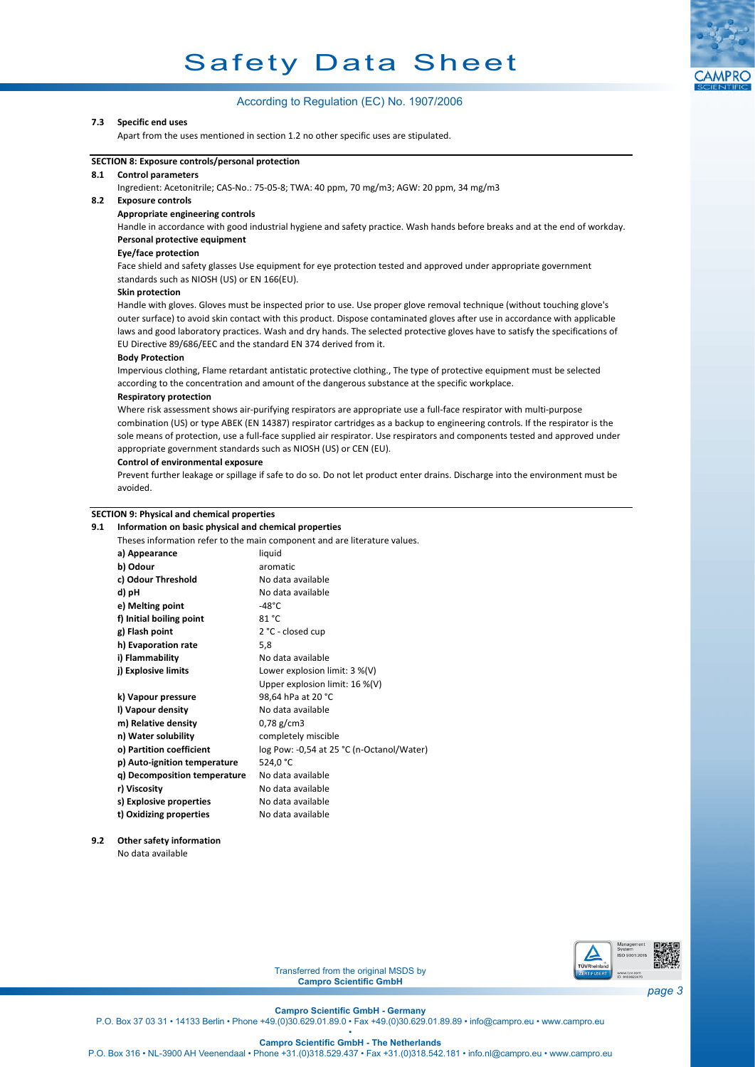# Safety Data Sheet



## **7.3 Specific end uses**

Apart from the uses mentioned in section 1.2 no other specific uses are stipulated.



## **SECTION 8: Exposure controls/personal protection**

## **8.1 Control parameters**

Ingredient: Acetonitrile; CAS-No.: 75-05-8; TWA: 40 ppm, 70 mg/m3; AGW: 20 ppm, 34 mg/m3

## **8.2 Exposure controls**

## **Appropriate engineering controls**

Handle in accordance with good industrial hygiene and safety practice. Wash hands before breaks and at the end of workday. **Personal protective equipment**

#### **Eye/face protection**

Face shield and safety glasses Use equipment for eye protection tested and approved under appropriate government standards such as NIOSH (US) or EN 166(EU).

## **Skin protection**

Handle with gloves. Gloves must be inspected prior to use. Use proper glove removal technique (without touching glove's outer surface) to avoid skin contact with this product. Dispose contaminated gloves after use in accordance with applicable laws and good laboratory practices. Wash and dry hands. The selected protective gloves have to satisfy the specifications of EU Directive 89/686/EEC and the standard EN 374 derived from it.

#### **Body Protection**

Impervious clothing, Flame retardant antistatic protective clothing., The type of protective equipment must be selected according to the concentration and amount of the dangerous substance at the specific workplace.

#### **Respiratory protection**

Where risk assessment shows air-purifying respirators are appropriate use a full-face respirator with multi-purpose combination (US) or type ABEK (EN 14387) respirator cartridges as a backup to engineering controls. If the respirator is the sole means of protection, use a full-face supplied air respirator. Use respirators and components tested and approved under appropriate government standards such as NIOSH (US) or CEN (EU).

## **Control of environmental exposure**

Prevent further leakage or spillage if safe to do so. Do not let product enter drains. Discharge into the environment must be avoided.

#### **SECTION 9: Physical and chemical properties**

## **9.1 Information on basic physical and chemical properties**

Theses information refer to the main component and are literature values.

| Theses information refer to the main component and are literature values. |                                           |  |  |
|---------------------------------------------------------------------------|-------------------------------------------|--|--|
| a) Appearance                                                             | liquid                                    |  |  |
| b) Odour                                                                  | aromatic                                  |  |  |
| c) Odour Threshold                                                        | No data available                         |  |  |
| d) pH                                                                     | No data available                         |  |  |
| e) Melting point                                                          | $-48^{\circ}$ C                           |  |  |
| f) Initial boiling point                                                  | 81 °C                                     |  |  |
| g) Flash point                                                            | 2 °C - closed cup                         |  |  |
| h) Evaporation rate                                                       | 5.8                                       |  |  |
| i) Flammability                                                           | No data available                         |  |  |
| j) Explosive limits                                                       | Lower explosion limit: $3\%$ (V)          |  |  |
|                                                                           | Upper explosion limit: $16\%$ (V)         |  |  |
| k) Vapour pressure                                                        | 98,64 hPa at 20 °C                        |  |  |
| I) Vapour density                                                         | No data available                         |  |  |
| m) Relative density                                                       | $0,78$ g/cm3                              |  |  |
| n) Water solubility                                                       | completely miscible                       |  |  |
| o) Partition coefficient                                                  | log Pow: -0,54 at 25 °C (n-Octanol/Water) |  |  |
| p) Auto-ignition temperature                                              | 524,0 °C                                  |  |  |
| q) Decomposition temperature                                              | No data available                         |  |  |
| r) Viscosity                                                              | No data available                         |  |  |
| s) Explosive properties                                                   | No data available                         |  |  |
| t) Oxidizing properties                                                   | No data available                         |  |  |
|                                                                           |                                           |  |  |

## **9.2 Other safety information** No data available



Transferred from the original MSDS by **Campro Scientific GmbH**

**Campro Scientific GmbH - Germany**

P.O. Box 37 03 31 • 14133 Berlin • Phone +49.(0)30.629.01.89.0 • Fax +49.(0)30.629.01.89.89 • info@campro.eu •<www.campro.eu> •

**Campro Scientific GmbH - The Netherlands**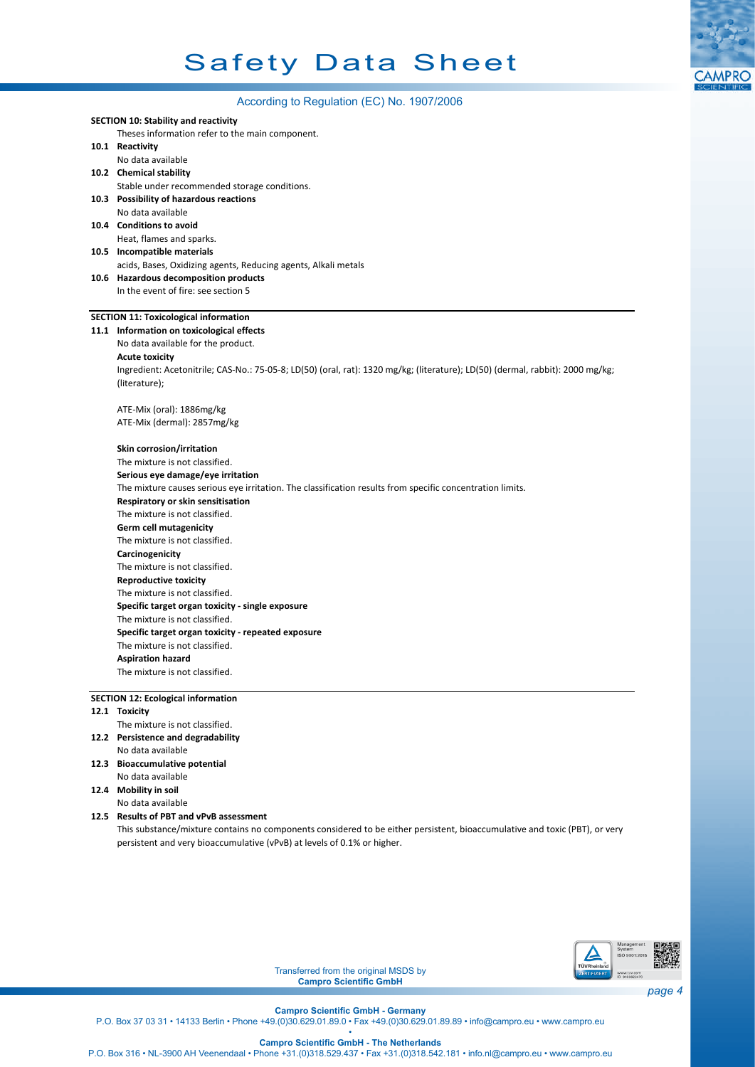

## According to Regulation (EC) No. 1907/2006

|                                           | $10001$ and $901000$ and $1001$ $(201100)$                                                                                     |  |  |  |
|-------------------------------------------|--------------------------------------------------------------------------------------------------------------------------------|--|--|--|
|                                           | <b>SECTION 10: Stability and reactivity</b>                                                                                    |  |  |  |
|                                           | Theses information refer to the main component.                                                                                |  |  |  |
|                                           | 10.1 Reactivity                                                                                                                |  |  |  |
|                                           | No data available                                                                                                              |  |  |  |
|                                           | 10.2 Chemical stability                                                                                                        |  |  |  |
|                                           | Stable under recommended storage conditions.                                                                                   |  |  |  |
|                                           | 10.3 Possibility of hazardous reactions                                                                                        |  |  |  |
|                                           | No data available                                                                                                              |  |  |  |
|                                           | 10.4 Conditions to avoid                                                                                                       |  |  |  |
|                                           | Heat, flames and sparks.                                                                                                       |  |  |  |
|                                           | 10.5 Incompatible materials                                                                                                    |  |  |  |
|                                           | acids, Bases, Oxidizing agents, Reducing agents, Alkali metals                                                                 |  |  |  |
|                                           | 10.6 Hazardous decomposition products                                                                                          |  |  |  |
|                                           | In the event of fire: see section 5                                                                                            |  |  |  |
|                                           |                                                                                                                                |  |  |  |
|                                           | <b>SECTION 11: Toxicological information</b>                                                                                   |  |  |  |
|                                           | 11.1 Information on toxicological effects                                                                                      |  |  |  |
|                                           | No data available for the product.                                                                                             |  |  |  |
|                                           | <b>Acute toxicity</b>                                                                                                          |  |  |  |
|                                           | Ingredient: Acetonitrile; CAS-No.: 75-05-8; LD(50) (oral, rat): 1320 mg/kg; (literature); LD(50) (dermal, rabbit): 2000 mg/kg; |  |  |  |
|                                           | (literature);                                                                                                                  |  |  |  |
|                                           |                                                                                                                                |  |  |  |
|                                           | ATE-Mix (oral): 1886mg/kg                                                                                                      |  |  |  |
|                                           | ATE-Mix (dermal): 2857mg/kg                                                                                                    |  |  |  |
|                                           |                                                                                                                                |  |  |  |
|                                           | Skin corrosion/irritation                                                                                                      |  |  |  |
|                                           | The mixture is not classified.                                                                                                 |  |  |  |
|                                           | Serious eye damage/eye irritation                                                                                              |  |  |  |
|                                           | The mixture causes serious eye irritation. The classification results from specific concentration limits.                      |  |  |  |
|                                           | Respiratory or skin sensitisation                                                                                              |  |  |  |
|                                           | The mixture is not classified.                                                                                                 |  |  |  |
|                                           | <b>Germ cell mutagenicity</b>                                                                                                  |  |  |  |
|                                           | The mixture is not classified.                                                                                                 |  |  |  |
|                                           | Carcinogenicity                                                                                                                |  |  |  |
|                                           | The mixture is not classified.                                                                                                 |  |  |  |
|                                           | <b>Reproductive toxicity</b>                                                                                                   |  |  |  |
|                                           | The mixture is not classified.                                                                                                 |  |  |  |
|                                           | Specific target organ toxicity - single exposure                                                                               |  |  |  |
|                                           | The mixture is not classified.                                                                                                 |  |  |  |
|                                           | Specific target organ toxicity - repeated exposure                                                                             |  |  |  |
|                                           | The mixture is not classified.                                                                                                 |  |  |  |
|                                           | <b>Aspiration hazard</b>                                                                                                       |  |  |  |
|                                           | The mixture is not classified.                                                                                                 |  |  |  |
|                                           |                                                                                                                                |  |  |  |
| <b>SECTION 12: Ecological information</b> |                                                                                                                                |  |  |  |
|                                           | 12.1 Toxicity                                                                                                                  |  |  |  |
|                                           | The mixture is not classified.                                                                                                 |  |  |  |
|                                           |                                                                                                                                |  |  |  |

- **12.2 Persistence and degradability** No data available
- **12.3 Bioaccumulative potential** No data available
- **12.4 Mobility in soil** No data available

## **12.5 Results of PBT and vPvB assessment**

This substance/mixture contains no components considered to be either persistent, bioaccumulative and toxic (PBT), or very persistent and very bioaccumulative (vPvB) at levels of 0.1% or higher.



Transferred from the original MSDS by **Campro Scientific GmbH**

**Campro Scientific GmbH - Germany**

P.O. Box 37 03 31 • 14133 Berlin • Phone +49.(0)30.629.01.89.0 • Fax +49.(0)30.629.01.89.89 • info@campro.eu •<www.campro.eu> •

**Campro Scientific GmbH - The Netherlands**